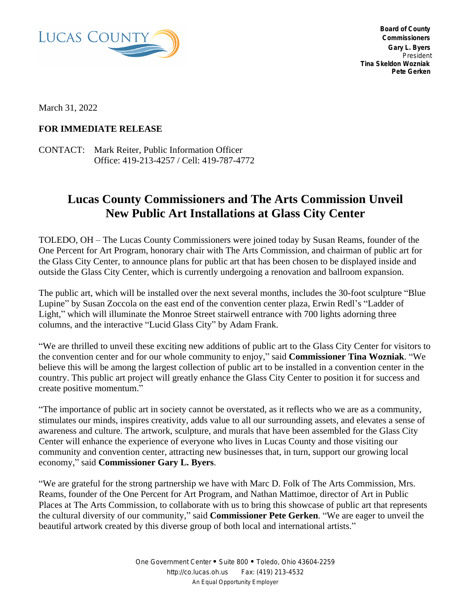

 **Board of County Commissioners Gary L. Byers** *President* **Tina Skeldon Wozniak Pete Gerken**

March 31, 2022

## **FOR IMMEDIATE RELEASE**

CONTACT: Mark Reiter, Public Information Officer Office: 419-213-4257 / Cell: 419-787-4772

## **Lucas County Commissioners and The Arts Commission Unveil New Public Art Installations at Glass City Center**

TOLEDO, OH – The Lucas County Commissioners were joined today by Susan Reams, founder of the One Percent for Art Program, honorary chair with The Arts Commission, and chairman of public art for the Glass City Center, to announce plans for public art that has been chosen to be displayed inside and outside the Glass City Center, which is currently undergoing a renovation and ballroom expansion.

The public art, which will be installed over the next several months, includes the 30-foot sculpture "Blue Lupine" by Susan Zoccola on the east end of the convention center plaza, Erwin Redl's "Ladder of Light," which will illuminate the Monroe Street stairwell entrance with 700 lights adorning three columns, and the interactive "Lucid Glass City" by Adam Frank.

"We are thrilled to unveil these exciting new additions of public art to the Glass City Center for visitors to the convention center and for our whole community to enjoy," said **Commissioner Tina Wozniak**. "We believe this will be among the largest collection of public art to be installed in a convention center in the country. This public art project will greatly enhance the Glass City Center to position it for success and create positive momentum."

"The importance of public art in society cannot be overstated, as it reflects who we are as a community, stimulates our minds, inspires creativity, adds value to all our surrounding assets, and elevates a sense of awareness and culture. The artwork, sculpture, and murals that have been assembled for the Glass City Center will enhance the experience of everyone who lives in Lucas County and those visiting our community and convention center, attracting new businesses that, in turn, support our growing local economy," said **Commissioner Gary L. Byers**.

"We are grateful for the strong partnership we have with Marc D. Folk of The Arts Commission, Mrs. Reams, founder of the One Percent for Art Program, and Nathan Mattimoe, director of Art in Public Places at The Arts Commission, to collaborate with us to bring this showcase of public art that represents the cultural diversity of our community," said **Commissioner Pete Gerken**. "We are eager to unveil the beautiful artwork created by this diverse group of both local and international artists."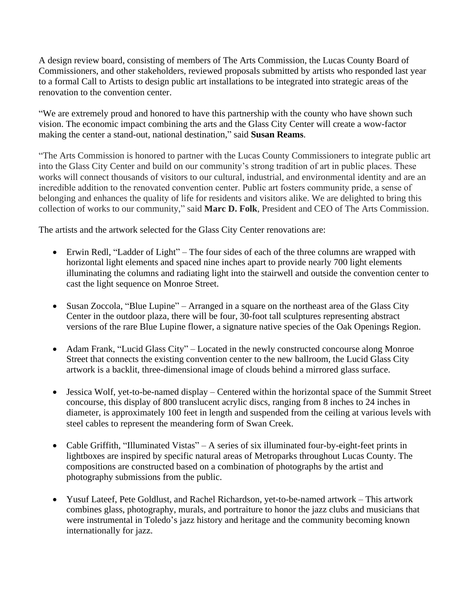A design review board, consisting of members of The Arts Commission, the Lucas County Board of Commissioners, and other stakeholders, reviewed proposals submitted by artists who responded last year to a formal Call to Artists to design public art installations to be integrated into strategic areas of the renovation to the convention center.

"We are extremely proud and honored to have this partnership with the county who have shown such vision. The economic impact combining the arts and the Glass City Center will create a wow-factor making the center a stand-out, national destination," said **Susan Reams**.

"The Arts Commission is honored to partner with the Lucas County Commissioners to integrate public art into the Glass City Center and build on our community's strong tradition of art in public places. These works will connect thousands of visitors to our cultural, industrial, and environmental identity and are an incredible addition to the renovated convention center. Public art fosters community pride, a sense of belonging and enhances the quality of life for residents and visitors alike. We are delighted to bring this collection of works to our community," said **Marc D. Folk**, President and CEO of The Arts Commission.

The artists and the artwork selected for the Glass City Center renovations are:

- Erwin Redl, "Ladder of Light" The four sides of each of the three columns are wrapped with horizontal light elements and spaced nine inches apart to provide nearly 700 light elements illuminating the columns and radiating light into the stairwell and outside the convention center to cast the light sequence on Monroe Street.
- Susan Zoccola, "Blue Lupine" Arranged in a square on the northeast area of the Glass City Center in the outdoor plaza, there will be four, 30-foot tall sculptures representing abstract versions of the rare Blue Lupine flower, a signature native species of the Oak Openings Region.
- Adam Frank, "Lucid Glass City" Located in the newly constructed concourse along Monroe Street that connects the existing convention center to the new ballroom, the Lucid Glass City artwork is a backlit, three-dimensional image of clouds behind a mirrored glass surface.
- Jessica Wolf, yet-to-be-named display Centered within the horizontal space of the Summit Street concourse, this display of 800 translucent acrylic discs, ranging from 8 inches to 24 inches in diameter, is approximately 100 feet in length and suspended from the ceiling at various levels with steel cables to represent the meandering form of Swan Creek.
- Cable Griffith, "Illuminated Vistas" A series of six illuminated four-by-eight-feet prints in lightboxes are inspired by specific natural areas of Metroparks throughout Lucas County. The compositions are constructed based on a combination of photographs by the artist and photography submissions from the public.
- Yusuf Lateef, Pete Goldlust, and Rachel Richardson, yet-to-be-named artwork This artwork combines glass, photography, murals, and portraiture to honor the jazz clubs and musicians that were instrumental in Toledo's jazz history and heritage and the community becoming known internationally for jazz.